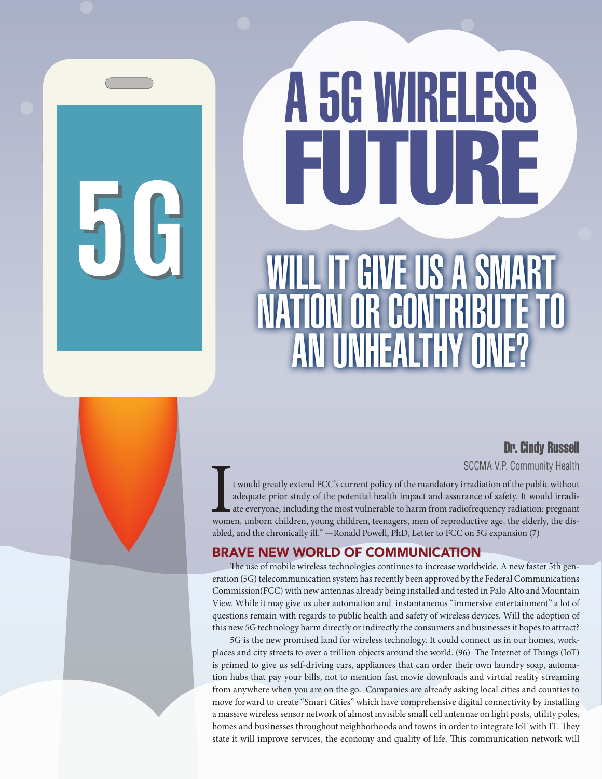# WILL IT GIVE US A SMART NATION OR CONTRIBUTE TO AN UNHEALTHY ONE? A 5G WIRELESS FUTURE

# Dr. Cindy Russell

SCCMA V.P. Community Health<br>
t would greatly extend FCC's current policy of the mandatory irradiation of the public without<br>
adequate prior study of the potential health impact and assurance of safety. It would irradiate<br> t would greatly extend FCC's current policy of the mandatory irradiation of the public without adequate prior study of the potential health impact and assurance of safety. It would irradiate everyone, including the most vulnerable to harm from radiofrequency radiation: pregnant women, unborn children, young children, teenagers, men of reproductive age, the elderly, the disabled, and the chronically ill." —Ronald Powell, PhD, Letter to FCC on 5G expansion (7)

## BRAVE NEW WORLD OF COMMUNICATION

The use of mobile wireless technologies continues to increase worldwide. A new faster 5th generation (5G) telecommunication system has recently been approved by the Federal Communications Commission(FCC) with new antennas already being installed and tested in Palo Alto and Mountain View. While it may give us uber automation and instantaneous "immersive entertainment" a lot of questions remain with regards to public health and safety of wireless devices. Will the adoption of this new 5G technology harm directly or indirectly the consumers and businesses it hopes to attract?

5G is the new promised land for wireless technology. It could connect us in our homes, workplaces and city streets to over a trillion objects around the world. (96) The Internet of Things (IoT) is primed to give us self-driving cars, appliances that can order their own laundry soap, automation hubs that pay your bills, not to mention fast movie downloads and virtual reality streaming from anywhere when you are on the go. Companies are already asking local cities and counties to move forward to create "Smart Cities" which have comprehensive digital connectivity by installing a massive wireless sensor network of almost invisible small cell antennae on light posts, utility poles, homes and businesses throughout neighborhoods and towns in order to integrate IoT with IT. They state it will improve services, the economy and quality of life. This communication network will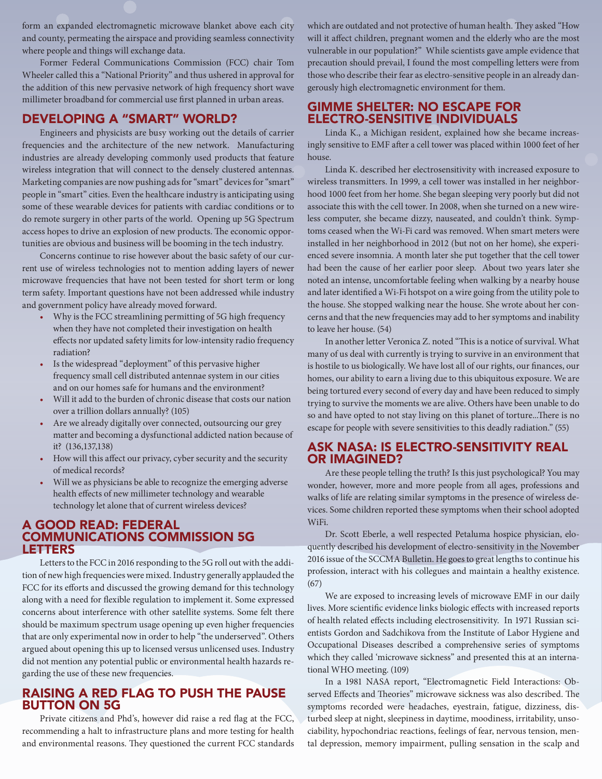form an expanded electromagnetic microwave blanket above each city and county, permeating the airspace and providing seamless connectivity where people and things will exchange data.

Former Federal Communications Commission (FCC) chair Tom Wheeler called this a "National Priority" and thus ushered in approval for the addition of this new pervasive network of high frequency short wave millimeter broadband for commercial use first planned in urban areas.

#### DEVELOPING A "SMART" WORLD?

Engineers and physicists are busy working out the details of carrier frequencies and the architecture of the new network. Manufacturing industries are already developing commonly used products that feature wireless integration that will connect to the densely clustered antennas. Marketing companies are now pushing ads for "smart" devices for "smart" people in "smart" cities. Even the healthcare industry is anticipating using some of these wearable devices for patients with cardiac conditions or to do remote surgery in other parts of the world. Opening up 5G Spectrum access hopes to drive an explosion of new products. The economic opportunities are obvious and business will be booming in the tech industry.

Concerns continue to rise however about the basic safety of our current use of wireless technologies not to mention adding layers of newer microwave frequencies that have not been tested for short term or long term safety. Important questions have not been addressed while industry and government policy have already moved forward.

- Why is the FCC streamlining permitting of 5G high frequency when they have not completed their investigation on health effects nor updated safety limits for low-intensity radio frequency radiation?
- Is the widespread "deployment" of this pervasive higher frequency small cell distributed antennae system in our cities and on our homes safe for humans and the environment?
- Will it add to the burden of chronic disease that costs our nation over a trillion dollars annually? (105)
- Are we already digitally over connected, outsourcing our grey matter and becoming a dysfunctional addicted nation because of it? (136,137,138)
- How will this affect our privacy, cyber security and the security of medical records?
- Will we as physicians be able to recognize the emerging adverse health effects of new millimeter technology and wearable technology let alone that of current wireless devices?

#### A GOOD READ: FEDERAL COMMUNICATIONS COMMISSION 5G LETTERS

Letters to the FCC in 2016 responding to the 5G roll out with the addition of new high frequencies were mixed. Industry generally applauded the FCC for its efforts and discussed the growing demand for this technology along with a need for flexible regulation to implement it. Some expressed concerns about interference with other satellite systems. Some felt there should be maximum spectrum usage opening up even higher frequencies that are only experimental now in order to help "the underserved". Others argued about opening this up to licensed versus unlicensed uses. Industry did not mention any potential public or environmental health hazards regarding the use of these new frequencies.

#### RAISING A RED FLAG TO PUSH THE PAUSE BUTTON ON 5G

Private citizens and Phd's, however did raise a red flag at the FCC, recommending a halt to infrastructure plans and more testing for health and environmental reasons. They questioned the current FCC standards which are outdated and not protective of human health. They asked "How will it affect children, pregnant women and the elderly who are the most vulnerable in our population?" While scientists gave ample evidence that precaution should prevail, I found the most compelling letters were from those who describe their fear as electro-sensitive people in an already dangerously high electromagnetic environment for them.

#### GIMME SHELTER: NO ESCAPE FOR ELECTRO-SENSITIVE INDIVIDUALS

Linda K., a Michigan resident, explained how she became increasingly sensitive to EMF after a cell tower was placed within 1000 feet of her house.

Linda K. described her electrosensitivity with increased exposure to wireless transmitters. In 1999, a cell tower was installed in her neighborhood 1000 feet from her home. She began sleeping very poorly but did not associate this with the cell tower. In 2008, when she turned on a new wireless computer, she became dizzy, nauseated, and couldn't think. Symptoms ceased when the Wi-Fi card was removed. When smart meters were installed in her neighborhood in 2012 (but not on her home), she experienced severe insomnia. A month later she put together that the cell tower had been the cause of her earlier poor sleep. About two years later she noted an intense, uncomfortable feeling when walking by a nearby house and later identified a Wi-Fi hotspot on a wire going from the utility pole to the house. She stopped walking near the house. She wrote about her concerns and that the new frequencies may add to her symptoms and inability to leave her house. (54)

In another letter Veronica Z. noted "This is a notice of survival. What many of us deal with currently is trying to survive in an environment that is hostile to us biologically. We have lost all of our rights, our finances, our homes, our ability to earn a living due to this ubiquitous exposure. We are being tortured every second of every day and have been reduced to simply trying to survive the moments we are alive. Others have been unable to do so and have opted to not stay living on this planet of torture...There is no escape for people with severe sensitivities to this deadly radiation." (55)

#### ASK NASA: IS ELECTRO-SENSITIVITY REAL OR IMAGINED?

Are these people telling the truth? Is this just psychological? You may wonder, however, more and more people from all ages, professions and walks of life are relating similar symptoms in the presence of wireless devices. Some children reported these symptoms when their school adopted WiFi.

Dr. Scott Eberle, a well respected Petaluma hospice physician, eloquently described his development of electro-sensitivity in the November 2016 issue of the SCCMA Bulletin. He goes to great lengths to continue his profession, interact with his collegues and maintain a healthy existence. (67)

We are exposed to increasing levels of microwave EMF in our daily lives. More scientific evidence links biologic effects with increased reports of health related effects including electrosensitivity. In 1971 Russian scientists Gordon and Sadchikova from the Institute of Labor Hygiene and Occupational Diseases described a comprehensive series of symptoms which they called 'microwave sickness" and presented this at an international WHO meeting. (109)

In a 1981 NASA report, "Electromagnetic Field Interactions: Observed Effects and Theories" microwave sickness was also described. The symptoms recorded were headaches, eyestrain, fatigue, dizziness, disturbed sleep at night, sleepiness in daytime, moodiness, irritability, unsociability, hypochondriac reactions, feelings of fear, nervous tension, mental depression, memory impairment, pulling sensation in the scalp and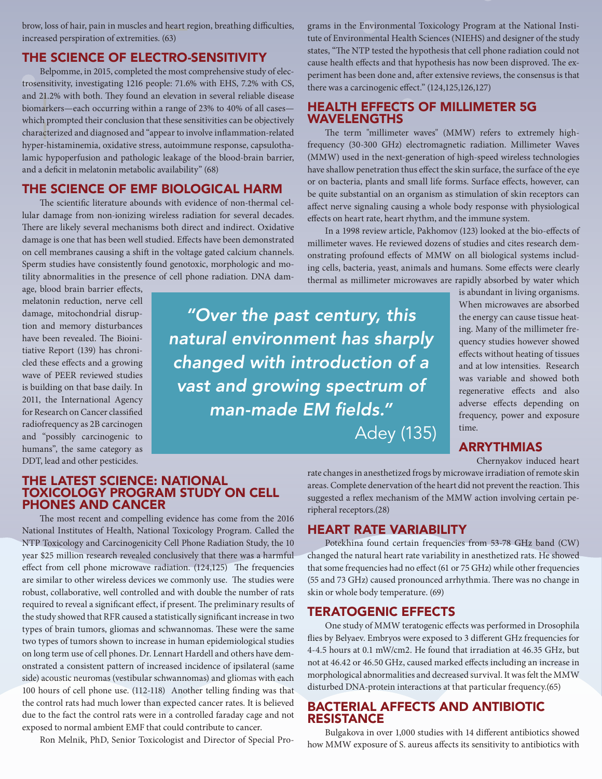brow, loss of hair, pain in muscles and heart region, breathing difficulties, increased perspiration of extremities. (63)

#### THE SCIENCE OF ELECTRO-SENSITIVITY

Belpomme, in 2015, completed the most comprehensive study of electrosensitivity, investigating 1216 people: 71.6% with EHS, 7.2% with CS, and 21.2% with both. They found an elevation in several reliable disease biomarkers—each occurring within a range of 23% to 40% of all cases which prompted their conclusion that these sensitivities can be objectively characterized and diagnosed and "appear to involve inflammation-related hyper-histaminemia, oxidative stress, autoimmune response, capsulothalamic hypoperfusion and pathologic leakage of the blood-brain barrier, and a deficit in melatonin metabolic availability" (68)

#### THE SCIENCE OF EMF BIOLOGICAL HARM

The scientific literature abounds with evidence of non-thermal cellular damage from non-ionizing wireless radiation for several decades. There are likely several mechanisms both direct and indirect. Oxidative damage is one that has been well studied. Effects have been demonstrated on cell membranes causing a shift in the voltage gated calcium channels. Sperm studies have consistently found genotoxic, morphologic and motility abnormalities in the presence of cell phone radiation. DNA dam-

age, blood brain barrier effects, melatonin reduction, nerve cell damage, mitochondrial disruption and memory disturbances have been revealed. The Bioinitiative Report (139) has chronicled these effects and a growing wave of PEER reviewed studies is building on that base daily. In 2011, the International Agency for Research on Cancer classified radiofrequency as 2B carcinogen and "possibly carcinogenic to humans", the same category as DDT, lead and other pesticides.

*"Over the past century, this natural environment has sharply changed with introduction of a vast and growing spectrum of man-made EM fields."*

Adey (135)

#### When microwaves are absorbed the energy can cause tissue heating. Many of the millimeter frequency studies however showed effects without heating of tissues and at low intensities. Research was variable and showed both regenerative effects and also adverse effects depending on frequency, power and exposure time.

is abundant in living organisms.

#### ARRYTHMIAS

Chernyakov induced heart

#### THE LATEST SCIENCE: NATIONAL TOXICOLOGY PROGRAM STUDY ON CELL PHONES AND CANCER

The most recent and compelling evidence has come from the 2016 National Institutes of Health, National Toxicology Program. Called the NTP Toxicology and Carcinogenicity Cell Phone Radiation Study, the 10 year \$25 million research revealed conclusively that there was a harmful effect from cell phone microwave radiation. (124,125) The frequencies are similar to other wireless devices we commonly use. The studies were robust, collaborative, well controlled and with double the number of rats required to reveal a significant effect, if present. The preliminary results of the study showed that RFR caused a statistically significant increase in two types of brain tumors, gliomas and schwannomas. These were the same two types of tumors shown to increase in human epidemiological studies on long term use of cell phones. Dr. Lennart Hardell and others have demonstrated a consistent pattern of increased incidence of ipsilateral (same side) acoustic neuromas (vestibular schwannomas) and gliomas with each 100 hours of cell phone use. (112-118) Another telling finding was that the control rats had much lower than expected cancer rates. It is believed due to the fact the control rats were in a controlled faraday cage and not exposed to normal ambient EMF that could contribute to cancer.

Ron Melnik, PhD, Senior Toxicologist and Director of Special Pro-

rate changes in anesthetized frogs by microwave irradiation of remote skin areas. Complete denervation of the heart did not prevent the reaction. This suggested a reflex mechanism of the MMW action involving certain peripheral receptors.(28)

grams in the Environmental Toxicology Program at the National Institute of Environmental Health Sciences (NIEHS) and designer of the study states, "The NTP tested the hypothesis that cell phone radiation could not cause health effects and that hypothesis has now been disproved. The experiment has been done and, after extensive reviews, the consensus is that

The term "millimeter waves" (MMW) refers to extremely highfrequency (30-300 GHz) electromagnetic radiation. Millimeter Waves (MMW) used in the next-generation of high-speed wireless technologies have shallow penetration thus effect the skin surface, the surface of the eye or on bacteria, plants and small life forms. Surface effects, however, can be quite substantial on an organism as stimulation of skin receptors can affect nerve signaling causing a whole body response with physiological

In a 1998 review article, Pakhomov (123) looked at the bio-effects of millimeter waves. He reviewed dozens of studies and cites research demonstrating profound effects of MMW on all biological systems including cells, bacteria, yeast, animals and humans. Some effects were clearly thermal as millimeter microwaves are rapidly absorbed by water which

there was a carcinogenic effect." (124,125,126,127)

WAVELENGTHS

HEALTH EFFECTS OF MILLIMETER 5G

effects on heart rate, heart rhythm, and the immune system.

#### HEART RATE VARIABILITY

Potekhina found certain frequencies from 53-78 GHz band (CW) changed the natural heart rate variability in anesthetized rats. He showed that some frequencies had no effect (61 or 75 GHz) while other frequencies (55 and 73 GHz) caused pronounced arrhythmia. There was no change in skin or whole body temperature. (69)

#### TERATOGENIC EFFECTS

One study of MMW teratogenic effects was performed in Drosophila flies by Belyaev. Embryos were exposed to 3 different GHz frequencies for 4-4.5 hours at 0.1 mW/cm2. He found that irradiation at 46.35 GHz, but not at 46.42 or 46.50 GHz, caused marked effects including an increase in morphological abnormalities and decreased survival. It was felt the MMW disturbed DNA-protein interactions at that particular frequency.(65)

#### BACTERIAL AFFECTS AND ANTIBIOTIC RESISTANCE

Bulgakova in over 1,000 studies with 14 different antibiotics showed how MMW exposure of S. aureus affects its sensitivity to antibiotics with